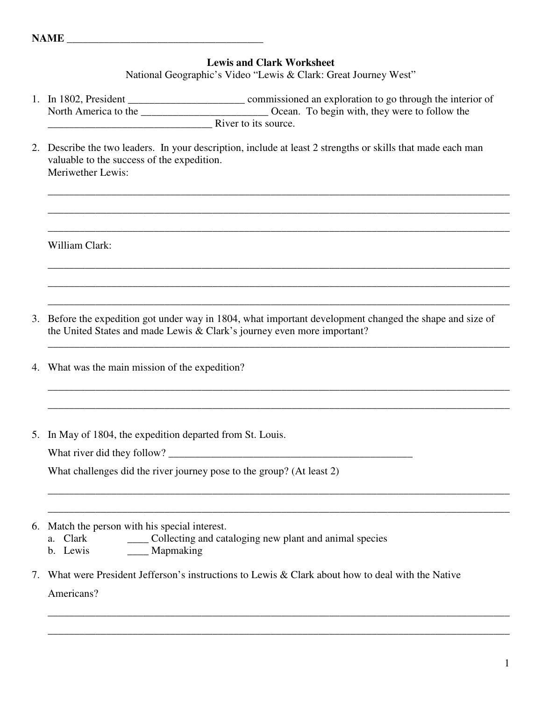## **Lewis and Clark Worksheet**

National Geographic's Video "Lewis & Clark: Great Journey West"

- 1. In 1802, President \_\_\_\_\_\_\_\_\_\_\_\_\_\_\_\_\_\_\_\_\_\_ commissioned an exploration to go through the interior of North America to the \_\_\_\_\_\_\_\_\_\_\_\_\_\_\_\_\_\_\_\_\_\_\_\_ Ocean. To begin with, they were to follow the \_\_\_\_\_\_\_\_\_\_\_\_\_\_\_\_\_\_\_\_\_\_\_\_\_\_\_\_\_\_\_ River to its source.
- 2. Describe the two leaders. In your description, include at least 2 strengths or skills that made each man valuable to the success of the expedition. Meriwether Lewis:

\_\_\_\_\_\_\_\_\_\_\_\_\_\_\_\_\_\_\_\_\_\_\_\_\_\_\_\_\_\_\_\_\_\_\_\_\_\_\_\_\_\_\_\_\_\_\_\_\_\_\_\_\_\_\_\_\_\_\_\_\_\_\_\_\_\_\_\_\_\_\_\_\_\_\_\_\_\_\_\_\_\_\_\_\_\_\_

\_\_\_\_\_\_\_\_\_\_\_\_\_\_\_\_\_\_\_\_\_\_\_\_\_\_\_\_\_\_\_\_\_\_\_\_\_\_\_\_\_\_\_\_\_\_\_\_\_\_\_\_\_\_\_\_\_\_\_\_\_\_\_\_\_\_\_\_\_\_\_\_\_\_\_\_\_\_\_\_\_\_\_\_\_\_\_

\_\_\_\_\_\_\_\_\_\_\_\_\_\_\_\_\_\_\_\_\_\_\_\_\_\_\_\_\_\_\_\_\_\_\_\_\_\_\_\_\_\_\_\_\_\_\_\_\_\_\_\_\_\_\_\_\_\_\_\_\_\_\_\_\_\_\_\_\_\_\_\_\_\_\_\_\_\_\_\_\_\_\_\_\_\_\_

\_\_\_\_\_\_\_\_\_\_\_\_\_\_\_\_\_\_\_\_\_\_\_\_\_\_\_\_\_\_\_\_\_\_\_\_\_\_\_\_\_\_\_\_\_\_\_\_\_\_\_\_\_\_\_\_\_\_\_\_\_\_\_\_\_\_\_\_\_\_\_\_\_\_\_\_\_\_\_\_\_\_\_\_\_\_\_

\_\_\_\_\_\_\_\_\_\_\_\_\_\_\_\_\_\_\_\_\_\_\_\_\_\_\_\_\_\_\_\_\_\_\_\_\_\_\_\_\_\_\_\_\_\_\_\_\_\_\_\_\_\_\_\_\_\_\_\_\_\_\_\_\_\_\_\_\_\_\_\_\_\_\_\_\_\_\_\_\_\_\_\_\_\_\_

\_\_\_\_\_\_\_\_\_\_\_\_\_\_\_\_\_\_\_\_\_\_\_\_\_\_\_\_\_\_\_\_\_\_\_\_\_\_\_\_\_\_\_\_\_\_\_\_\_\_\_\_\_\_\_\_\_\_\_\_\_\_\_\_\_\_\_\_\_\_\_\_\_\_\_\_\_\_\_\_\_\_\_\_\_\_\_

\_\_\_\_\_\_\_\_\_\_\_\_\_\_\_\_\_\_\_\_\_\_\_\_\_\_\_\_\_\_\_\_\_\_\_\_\_\_\_\_\_\_\_\_\_\_\_\_\_\_\_\_\_\_\_\_\_\_\_\_\_\_\_\_\_\_\_\_\_\_\_\_\_\_\_\_\_\_\_\_\_\_\_\_\_\_\_

\_\_\_\_\_\_\_\_\_\_\_\_\_\_\_\_\_\_\_\_\_\_\_\_\_\_\_\_\_\_\_\_\_\_\_\_\_\_\_\_\_\_\_\_\_\_\_\_\_\_\_\_\_\_\_\_\_\_\_\_\_\_\_\_\_\_\_\_\_\_\_\_\_\_\_\_\_\_\_\_\_\_\_\_\_\_\_

\_\_\_\_\_\_\_\_\_\_\_\_\_\_\_\_\_\_\_\_\_\_\_\_\_\_\_\_\_\_\_\_\_\_\_\_\_\_\_\_\_\_\_\_\_\_\_\_\_\_\_\_\_\_\_\_\_\_\_\_\_\_\_\_\_\_\_\_\_\_\_\_\_\_\_\_\_\_\_\_\_\_\_\_\_\_\_

\_\_\_\_\_\_\_\_\_\_\_\_\_\_\_\_\_\_\_\_\_\_\_\_\_\_\_\_\_\_\_\_\_\_\_\_\_\_\_\_\_\_\_\_\_\_\_\_\_\_\_\_\_\_\_\_\_\_\_\_\_\_\_\_\_\_\_\_\_\_\_\_\_\_\_\_\_\_\_\_\_\_\_\_\_\_\_

\_\_\_\_\_\_\_\_\_\_\_\_\_\_\_\_\_\_\_\_\_\_\_\_\_\_\_\_\_\_\_\_\_\_\_\_\_\_\_\_\_\_\_\_\_\_\_\_\_\_\_\_\_\_\_\_\_\_\_\_\_\_\_\_\_\_\_\_\_\_\_\_\_\_\_\_\_\_\_\_\_\_\_\_\_\_\_

\_\_\_\_\_\_\_\_\_\_\_\_\_\_\_\_\_\_\_\_\_\_\_\_\_\_\_\_\_\_\_\_\_\_\_\_\_\_\_\_\_\_\_\_\_\_\_\_\_\_\_\_\_\_\_\_\_\_\_\_\_\_\_\_\_\_\_\_\_\_\_\_\_\_\_\_\_\_\_\_\_\_\_\_\_\_\_

\_\_\_\_\_\_\_\_\_\_\_\_\_\_\_\_\_\_\_\_\_\_\_\_\_\_\_\_\_\_\_\_\_\_\_\_\_\_\_\_\_\_\_\_\_\_\_\_\_\_\_\_\_\_\_\_\_\_\_\_\_\_\_\_\_\_\_\_\_\_\_\_\_\_\_\_\_\_\_\_\_\_\_\_\_\_\_

William Clark:

- 3. Before the expedition got under way in 1804, what important development changed the shape and size of the United States and made Lewis & Clark's journey even more important?
- 4. What was the main mission of the expedition?
- 5. In May of 1804, the expedition departed from St. Louis.

What river did they follow?

What challenges did the river journey pose to the group? (At least 2)

- 6. Match the person with his special interest.
	- a. Clark \_\_\_\_ Collecting and cataloging new plant and animal species
	- b. Lewis \_\_\_\_\_\_\_\_ Mapmaking
- 7. What were President Jefferson's instructions to Lewis & Clark about how to deal with the Native Americans?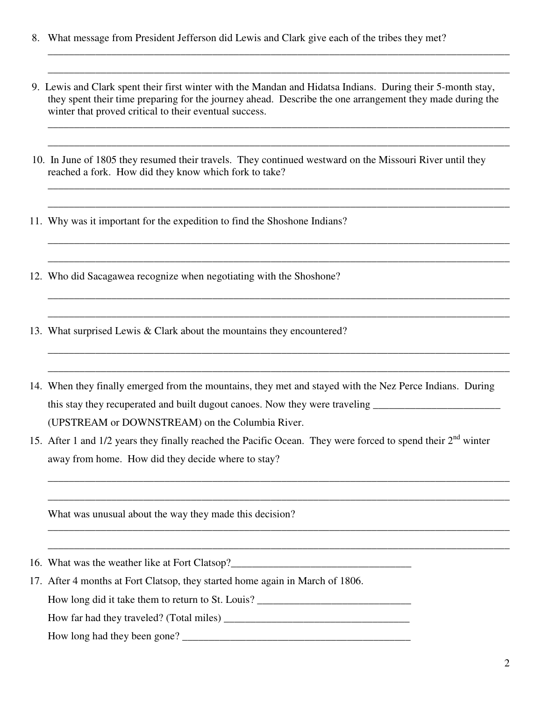- 8. What message from President Jefferson did Lewis and Clark give each of the tribes they met?
- 9. Lewis and Clark spent their first winter with the Mandan and Hidatsa Indians. During their 5-month stay, they spent their time preparing for the journey ahead. Describe the one arrangement they made during the winter that proved critical to their eventual success.

\_\_\_\_\_\_\_\_\_\_\_\_\_\_\_\_\_\_\_\_\_\_\_\_\_\_\_\_\_\_\_\_\_\_\_\_\_\_\_\_\_\_\_\_\_\_\_\_\_\_\_\_\_\_\_\_\_\_\_\_\_\_\_\_\_\_\_\_\_\_\_\_\_\_\_\_\_\_\_\_\_\_\_\_\_\_\_

\_\_\_\_\_\_\_\_\_\_\_\_\_\_\_\_\_\_\_\_\_\_\_\_\_\_\_\_\_\_\_\_\_\_\_\_\_\_\_\_\_\_\_\_\_\_\_\_\_\_\_\_\_\_\_\_\_\_\_\_\_\_\_\_\_\_\_\_\_\_\_\_\_\_\_\_\_\_\_\_\_\_\_\_\_\_\_

\_\_\_\_\_\_\_\_\_\_\_\_\_\_\_\_\_\_\_\_\_\_\_\_\_\_\_\_\_\_\_\_\_\_\_\_\_\_\_\_\_\_\_\_\_\_\_\_\_\_\_\_\_\_\_\_\_\_\_\_\_\_\_\_\_\_\_\_\_\_\_\_\_\_\_\_\_\_\_\_\_\_\_\_\_\_\_

\_\_\_\_\_\_\_\_\_\_\_\_\_\_\_\_\_\_\_\_\_\_\_\_\_\_\_\_\_\_\_\_\_\_\_\_\_\_\_\_\_\_\_\_\_\_\_\_\_\_\_\_\_\_\_\_\_\_\_\_\_\_\_\_\_\_\_\_\_\_\_\_\_\_\_\_\_\_\_\_\_\_\_\_\_\_\_

\_\_\_\_\_\_\_\_\_\_\_\_\_\_\_\_\_\_\_\_\_\_\_\_\_\_\_\_\_\_\_\_\_\_\_\_\_\_\_\_\_\_\_\_\_\_\_\_\_\_\_\_\_\_\_\_\_\_\_\_\_\_\_\_\_\_\_\_\_\_\_\_\_\_\_\_\_\_\_\_\_\_\_\_\_\_\_

\_\_\_\_\_\_\_\_\_\_\_\_\_\_\_\_\_\_\_\_\_\_\_\_\_\_\_\_\_\_\_\_\_\_\_\_\_\_\_\_\_\_\_\_\_\_\_\_\_\_\_\_\_\_\_\_\_\_\_\_\_\_\_\_\_\_\_\_\_\_\_\_\_\_\_\_\_\_\_\_\_\_\_\_\_\_\_

\_\_\_\_\_\_\_\_\_\_\_\_\_\_\_\_\_\_\_\_\_\_\_\_\_\_\_\_\_\_\_\_\_\_\_\_\_\_\_\_\_\_\_\_\_\_\_\_\_\_\_\_\_\_\_\_\_\_\_\_\_\_\_\_\_\_\_\_\_\_\_\_\_\_\_\_\_\_\_\_\_\_\_\_\_\_\_

\_\_\_\_\_\_\_\_\_\_\_\_\_\_\_\_\_\_\_\_\_\_\_\_\_\_\_\_\_\_\_\_\_\_\_\_\_\_\_\_\_\_\_\_\_\_\_\_\_\_\_\_\_\_\_\_\_\_\_\_\_\_\_\_\_\_\_\_\_\_\_\_\_\_\_\_\_\_\_\_\_\_\_\_\_\_\_

\_\_\_\_\_\_\_\_\_\_\_\_\_\_\_\_\_\_\_\_\_\_\_\_\_\_\_\_\_\_\_\_\_\_\_\_\_\_\_\_\_\_\_\_\_\_\_\_\_\_\_\_\_\_\_\_\_\_\_\_\_\_\_\_\_\_\_\_\_\_\_\_\_\_\_\_\_\_\_\_\_\_\_\_\_\_\_

\_\_\_\_\_\_\_\_\_\_\_\_\_\_\_\_\_\_\_\_\_\_\_\_\_\_\_\_\_\_\_\_\_\_\_\_\_\_\_\_\_\_\_\_\_\_\_\_\_\_\_\_\_\_\_\_\_\_\_\_\_\_\_\_\_\_\_\_\_\_\_\_\_\_\_\_\_\_\_\_\_\_\_\_\_\_\_

\_\_\_\_\_\_\_\_\_\_\_\_\_\_\_\_\_\_\_\_\_\_\_\_\_\_\_\_\_\_\_\_\_\_\_\_\_\_\_\_\_\_\_\_\_\_\_\_\_\_\_\_\_\_\_\_\_\_\_\_\_\_\_\_\_\_\_\_\_\_\_\_\_\_\_\_\_\_\_\_\_\_\_\_\_\_\_

\_\_\_\_\_\_\_\_\_\_\_\_\_\_\_\_\_\_\_\_\_\_\_\_\_\_\_\_\_\_\_\_\_\_\_\_\_\_\_\_\_\_\_\_\_\_\_\_\_\_\_\_\_\_\_\_\_\_\_\_\_\_\_\_\_\_\_\_\_\_\_\_\_\_\_\_\_\_\_\_\_\_\_\_\_\_\_

\_\_\_\_\_\_\_\_\_\_\_\_\_\_\_\_\_\_\_\_\_\_\_\_\_\_\_\_\_\_\_\_\_\_\_\_\_\_\_\_\_\_\_\_\_\_\_\_\_\_\_\_\_\_\_\_\_\_\_\_\_\_\_\_\_\_\_\_\_\_\_\_\_\_\_\_\_\_\_\_\_\_\_\_\_\_\_

\_\_\_\_\_\_\_\_\_\_\_\_\_\_\_\_\_\_\_\_\_\_\_\_\_\_\_\_\_\_\_\_\_\_\_\_\_\_\_\_\_\_\_\_\_\_\_\_\_\_\_\_\_\_\_\_\_\_\_\_\_\_\_\_\_\_\_\_\_\_\_\_\_\_\_\_\_\_\_\_\_\_\_\_\_\_\_

\_\_\_\_\_\_\_\_\_\_\_\_\_\_\_\_\_\_\_\_\_\_\_\_\_\_\_\_\_\_\_\_\_\_\_\_\_\_\_\_\_\_\_\_\_\_\_\_\_\_\_\_\_\_\_\_\_\_\_\_\_\_\_\_\_\_\_\_\_\_\_\_\_\_\_\_\_\_\_\_\_\_\_\_\_\_\_

\_\_\_\_\_\_\_\_\_\_\_\_\_\_\_\_\_\_\_\_\_\_\_\_\_\_\_\_\_\_\_\_\_\_\_\_\_\_\_\_\_\_\_\_\_\_\_\_\_\_\_\_\_\_\_\_\_\_\_\_\_\_\_\_\_\_\_\_\_\_\_\_\_\_\_\_\_\_\_\_\_\_\_\_\_\_\_

- 10. In June of 1805 they resumed their travels. They continued westward on the Missouri River until they reached a fork. How did they know which fork to take?
- 11. Why was it important for the expedition to find the Shoshone Indians?
- 12. Who did Sacagawea recognize when negotiating with the Shoshone?
- 13. What surprised Lewis & Clark about the mountains they encountered?
- 14. When they finally emerged from the mountains, they met and stayed with the Nez Perce Indians. During this stay they recuperated and built dugout canoes. Now they were traveling \_\_\_\_\_\_\_\_\_\_\_\_\_\_\_\_\_\_\_\_\_\_\_\_\_\_\_\_\_\_\_\_\_\_ (UPSTREAM or DOWNSTREAM) on the Columbia River.
- 15. After 1 and 1/2 years they finally reached the Pacific Ocean. They were forced to spend their  $2^{nd}$  winter away from home. How did they decide where to stay?

What was unusual about the way they made this decision?

- 16. What was the weather like at Fort Clatsop?\_\_\_\_\_\_\_\_\_\_\_\_\_\_\_\_\_\_\_\_\_\_\_\_\_\_\_\_\_\_\_\_\_\_\_
- 17. After 4 months at Fort Clatsop, they started home again in March of 1806.

How long did it take them to return to St. Louis?

How far had they traveled? (Total miles) \_\_\_\_\_\_\_\_\_\_\_\_\_\_\_\_\_\_\_\_\_\_\_\_\_\_\_\_\_\_\_\_\_\_\_

How long had they been gone?